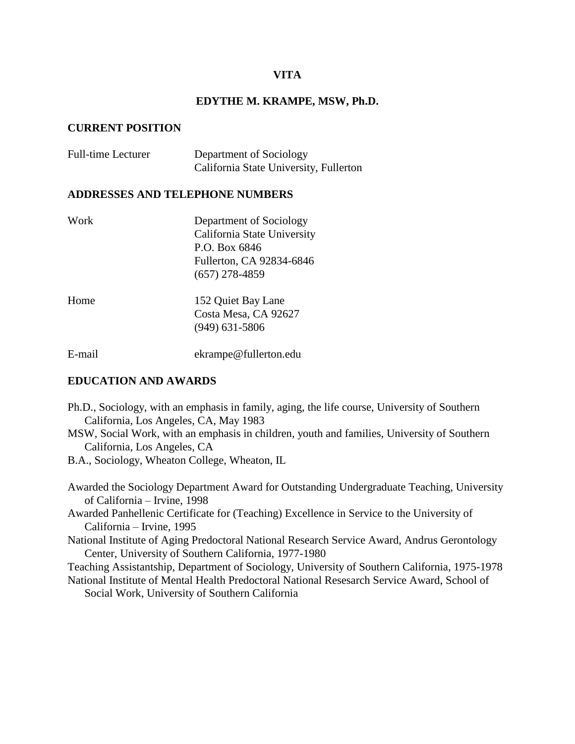# **VITA**

## **EDYTHE M. KRAMPE, MSW, Ph.D.**

### **CURRENT POSITION**

| <b>Full-time Lecturer</b> | Department of Sociology                |
|---------------------------|----------------------------------------|
|                           | California State University, Fullerton |

## **ADDRESSES AND TELEPHONE NUMBERS**

| Work   | Department of Sociology     |
|--------|-----------------------------|
|        | California State University |
|        | P.O. Box 6846               |
|        | Fullerton, CA 92834-6846    |
|        | $(657)$ 278-4859            |
| Home   | 152 Quiet Bay Lane          |
|        | Costa Mesa, CA 92627        |
|        | $(949)$ 631-5806            |
| E-mail | ekrampe@fullerton.edu       |

# **EDUCATION AND AWARDS**

- Ph.D., Sociology, with an emphasis in family, aging, the life course, University of Southern California, Los Angeles, CA, May 1983
- MSW, Social Work, with an emphasis in children, youth and families, University of Southern California, Los Angeles, CA

B.A., Sociology, Wheaton College, Wheaton, IL

Awarded the Sociology Department Award for Outstanding Undergraduate Teaching, University of California – Irvine, 1998

Awarded Panhellenic Certificate for (Teaching) Excellence in Service to the University of California – Irvine, 1995

National Institute of Aging Predoctoral National Research Service Award, Andrus Gerontology Center, University of Southern California, 1977-1980

Teaching Assistantship, Department of Sociology, University of Southern California, 1975-1978

National Institute of Mental Health Predoctoral National Resesarch Service Award, School of Social Work, University of Southern California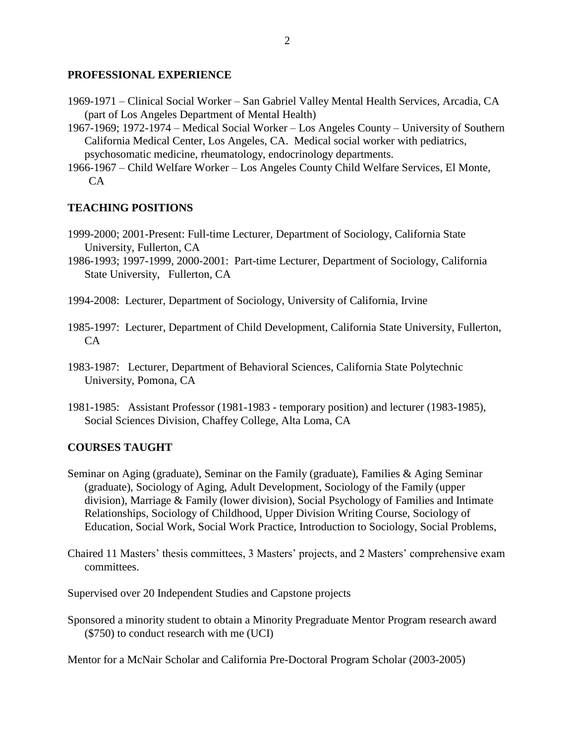## **PROFESSIONAL EXPERIENCE**

- 1969-1971 Clinical Social Worker San Gabriel Valley Mental Health Services, Arcadia, CA (part of Los Angeles Department of Mental Health)
- 1967-1969; 1972-1974 Medical Social Worker Los Angeles County University of Southern California Medical Center, Los Angeles, CA. Medical social worker with pediatrics, psychosomatic medicine, rheumatology, endocrinology departments.
- 1966-1967 Child Welfare Worker Los Angeles County Child Welfare Services, El Monte, CA

# **TEACHING POSITIONS**

- 1999-2000; 2001-Present: Full-time Lecturer, Department of Sociology, California State University, Fullerton, CA
- 1986-1993; 1997-1999, 2000-2001: Part-time Lecturer, Department of Sociology, California State University, Fullerton, CA
- 1994-2008: Lecturer, Department of Sociology, University of California, Irvine
- 1985-1997: Lecturer, Department of Child Development, California State University, Fullerton, CA
- 1983-1987: Lecturer, Department of Behavioral Sciences, California State Polytechnic University, Pomona, CA
- 1981-1985: Assistant Professor (1981-1983 temporary position) and lecturer (1983-1985), Social Sciences Division, Chaffey College, Alta Loma, CA

# **COURSES TAUGHT**

- Seminar on Aging (graduate), Seminar on the Family (graduate), Families & Aging Seminar (graduate), Sociology of Aging, Adult Development, Sociology of the Family (upper division), Marriage & Family (lower division), Social Psychology of Families and Intimate Relationships, Sociology of Childhood, Upper Division Writing Course, Sociology of Education, Social Work, Social Work Practice, Introduction to Sociology, Social Problems,
- Chaired 11 Masters' thesis committees, 3 Masters' projects, and 2 Masters' comprehensive exam committees.
- Supervised over 20 Independent Studies and Capstone projects
- Sponsored a minority student to obtain a Minority Pregraduate Mentor Program research award (\$750) to conduct research with me (UCI)

Mentor for a McNair Scholar and California Pre-Doctoral Program Scholar (2003-2005)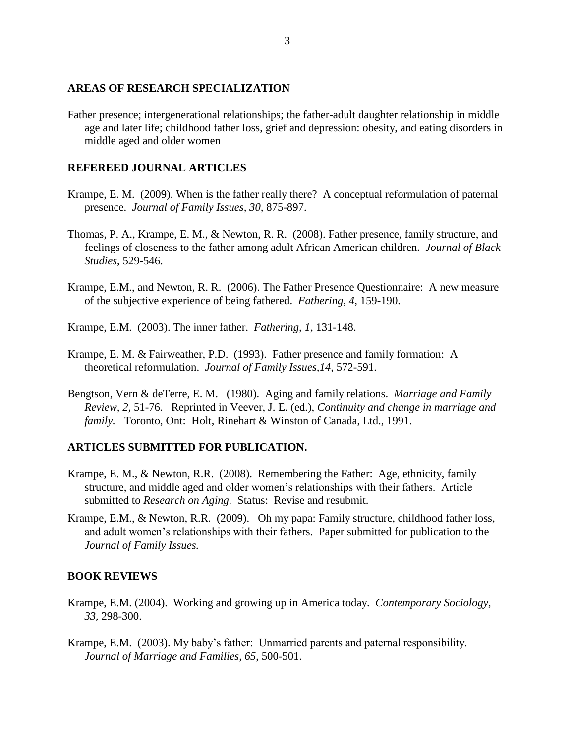### **AREAS OF RESEARCH SPECIALIZATION**

Father presence; intergenerational relationships; the father-adult daughter relationship in middle age and later life; childhood father loss, grief and depression: obesity, and eating disorders in middle aged and older women

# **REFEREED JOURNAL ARTICLES**

- Krampe, E. M. (2009). When is the father really there? A conceptual reformulation of paternal presence. *Journal of Family Issues, 30,* 875-897.
- Thomas, P. A., Krampe, E. M., & Newton, R. R. (2008). Father presence, family structure, and feelings of closeness to the father among adult African American children. *Journal of Black Studies*, 529-546.
- Krampe, E.M., and Newton, R. R. (2006). The Father Presence Questionnaire: A new measure of the subjective experience of being fathered. *Fathering, 4,* 159-190.
- Krampe, E.M. (2003). The inner father. *Fathering, 1,* 131-148.
- Krampe, E. M. & Fairweather, P.D. (1993). Father presence and family formation: A theoretical reformulation. *Journal of Family Issues,14,* 572-591.
- Bengtson, Vern & deTerre, E. M. (1980). Aging and family relations. *Marriage and Family Review, 2,* 51-76.Reprinted in Veever, J. E. (ed.), *Continuity and change in marriage and family.* Toronto, Ont: Holt, Rinehart & Winston of Canada, Ltd., 1991.

# **ARTICLES SUBMITTED FOR PUBLICATION.**

- Krampe, E. M., & Newton, R.R. (2008). Remembering the Father: Age, ethnicity, family structure, and middle aged and older women's relationships with their fathers. Article submitted to *Research on Aging.* Status: Revise and resubmit.
- Krampe, E.M., & Newton, R.R. (2009). Oh my papa: Family structure, childhood father loss, and adult women's relationships with their fathers. Paper submitted for publication to the *Journal of Family Issues.*

### **BOOK REVIEWS**

- Krampe, E.M. (2004). Working and growing up in America today. *Contemporary Sociology, 33,* 298-300.
- Krampe, E.M. (2003). My baby's father: Unmarried parents and paternal responsibility. *Journal of Marriage and Families, 65*, 500-501.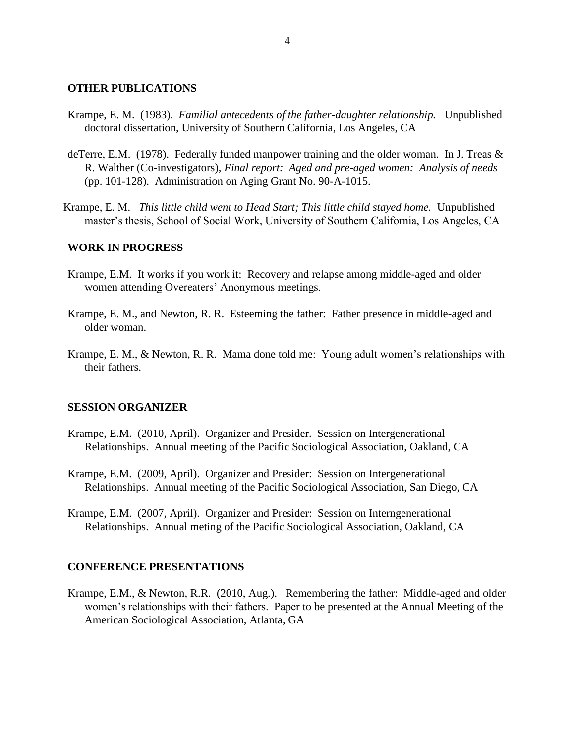#### **OTHER PUBLICATIONS**

- Krampe, E. M. (1983). *Familial antecedents of the father-daughter relationship.* Unpublished doctoral dissertation, University of Southern California, Los Angeles, CA
- deTerre, E.M. (1978). Federally funded manpower training and the older woman. In J. Treas & R. Walther (Co-investigators), *Final report: Aged and pre-aged women: Analysis of needs* (pp. 101-128). Administration on Aging Grant No. 90-A-1015.
- Krampe, E. M. *This little child went to Head Start; This little child stayed home.* Unpublished master's thesis, School of Social Work, University of Southern California, Los Angeles, CA

## **WORK IN PROGRESS**

- Krampe, E.M. It works if you work it: Recovery and relapse among middle-aged and older women attending Overeaters' Anonymous meetings.
- Krampe, E. M., and Newton, R. R. Esteeming the father: Father presence in middle-aged and older woman.
- Krampe, E. M., & Newton, R. R. Mama done told me: Young adult women's relationships with their fathers.

#### **SESSION ORGANIZER**

- Krampe, E.M. (2010, April). Organizer and Presider. Session on Intergenerational Relationships. Annual meeting of the Pacific Sociological Association, Oakland, CA
- Krampe, E.M. (2009, April). Organizer and Presider: Session on Intergenerational Relationships. Annual meeting of the Pacific Sociological Association, San Diego, CA
- Krampe, E.M. (2007, April). Organizer and Presider: Session on Interngenerational Relationships. Annual meting of the Pacific Sociological Association, Oakland, CA

### **CONFERENCE PRESENTATIONS**

Krampe, E.M., & Newton, R.R. (2010, Aug.). Remembering the father: Middle-aged and older women's relationships with their fathers. Paper to be presented at the Annual Meeting of the American Sociological Association, Atlanta, GA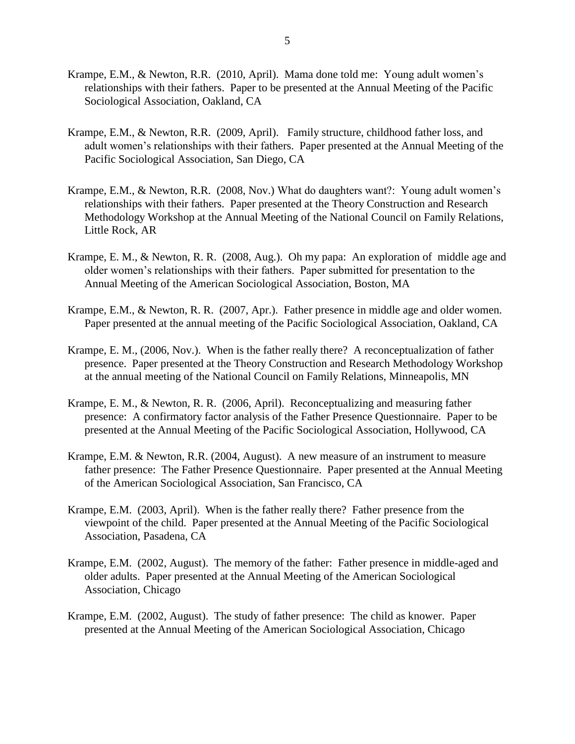- Krampe, E.M., & Newton, R.R. (2010, April). Mama done told me: Young adult women's relationships with their fathers. Paper to be presented at the Annual Meeting of the Pacific Sociological Association, Oakland, CA
- Krampe, E.M., & Newton, R.R. (2009, April). Family structure, childhood father loss, and adult women's relationships with their fathers. Paper presented at the Annual Meeting of the Pacific Sociological Association, San Diego, CA
- Krampe, E.M., & Newton, R.R. (2008, Nov.) What do daughters want?: Young adult women's relationships with their fathers. Paper presented at the Theory Construction and Research Methodology Workshop at the Annual Meeting of the National Council on Family Relations, Little Rock, AR
- Krampe, E. M., & Newton, R. R. (2008, Aug.). Oh my papa: An exploration of middle age and older women's relationships with their fathers. Paper submitted for presentation to the Annual Meeting of the American Sociological Association, Boston, MA
- Krampe, E.M., & Newton, R. R. (2007, Apr.). Father presence in middle age and older women. Paper presented at the annual meeting of the Pacific Sociological Association, Oakland, CA
- Krampe, E. M., (2006, Nov.). When is the father really there? A reconceptualization of father presence. Paper presented at the Theory Construction and Research Methodology Workshop at the annual meeting of the National Council on Family Relations, Minneapolis, MN
- Krampe, E. M., & Newton, R. R. (2006, April). Reconceptualizing and measuring father presence: A confirmatory factor analysis of the Father Presence Questionnaire. Paper to be presented at the Annual Meeting of the Pacific Sociological Association, Hollywood, CA
- Krampe, E.M. & Newton, R.R. (2004, August). A new measure of an instrument to measure father presence: The Father Presence Questionnaire. Paper presented at the Annual Meeting of the American Sociological Association, San Francisco, CA
- Krampe, E.M. (2003, April). When is the father really there? Father presence from the viewpoint of the child. Paper presented at the Annual Meeting of the Pacific Sociological Association, Pasadena, CA
- Krampe, E.M. (2002, August). The memory of the father: Father presence in middle-aged and older adults. Paper presented at the Annual Meeting of the American Sociological Association, Chicago
- Krampe, E.M. (2002, August). The study of father presence: The child as knower. Paper presented at the Annual Meeting of the American Sociological Association, Chicago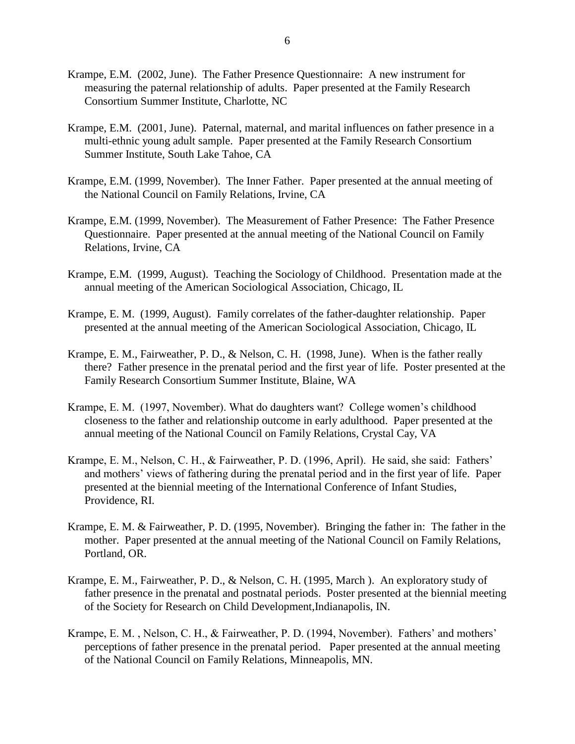- Krampe, E.M. (2002, June). The Father Presence Questionnaire: A new instrument for measuring the paternal relationship of adults. Paper presented at the Family Research Consortium Summer Institute, Charlotte, NC
- Krampe, E.M. (2001, June). Paternal, maternal, and marital influences on father presence in a multi-ethnic young adult sample. Paper presented at the Family Research Consortium Summer Institute, South Lake Tahoe, CA
- Krampe, E.M. (1999, November). The Inner Father. Paper presented at the annual meeting of the National Council on Family Relations, Irvine, CA
- Krampe, E.M. (1999, November). The Measurement of Father Presence: The Father Presence Questionnaire. Paper presented at the annual meeting of the National Council on Family Relations, Irvine, CA
- Krampe, E.M. (1999, August). Teaching the Sociology of Childhood. Presentation made at the annual meeting of the American Sociological Association, Chicago, IL
- Krampe, E. M. (1999, August). Family correlates of the father-daughter relationship. Paper presented at the annual meeting of the American Sociological Association, Chicago, IL
- Krampe, E. M., Fairweather, P. D., & Nelson, C. H. (1998, June). When is the father really there? Father presence in the prenatal period and the first year of life. Poster presented at the Family Research Consortium Summer Institute, Blaine, WA
- Krampe, E. M. (1997, November). What do daughters want? College women's childhood closeness to the father and relationship outcome in early adulthood. Paper presented at the annual meeting of the National Council on Family Relations, Crystal Cay, VA
- Krampe, E. M., Nelson, C. H., & Fairweather, P. D. (1996, April). He said, she said: Fathers' and mothers' views of fathering during the prenatal period and in the first year of life. Paper presented at the biennial meeting of the International Conference of Infant Studies, Providence, RI.
- Krampe, E. M. & Fairweather, P. D. (1995, November). Bringing the father in: The father in the mother. Paper presented at the annual meeting of the National Council on Family Relations, Portland, OR.
- Krampe, E. M., Fairweather, P. D., & Nelson, C. H. (1995, March ). An exploratory study of father presence in the prenatal and postnatal periods. Poster presented at the biennial meeting of the Society for Research on Child Development,Indianapolis, IN.
- Krampe, E. M. , Nelson, C. H., & Fairweather, P. D. (1994, November). Fathers' and mothers' perceptions of father presence in the prenatal period. Paper presented at the annual meeting of the National Council on Family Relations, Minneapolis, MN.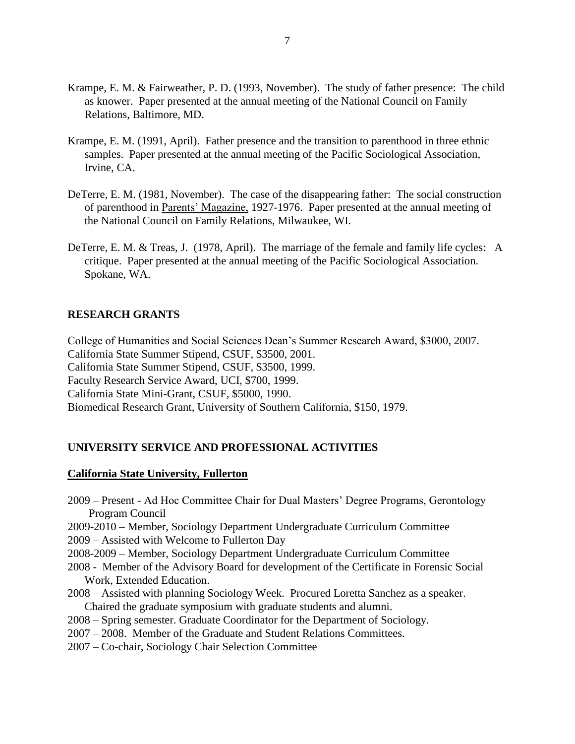- Krampe, E. M. & Fairweather, P. D. (1993, November). The study of father presence: The child as knower. Paper presented at the annual meeting of the National Council on Family Relations, Baltimore, MD.
- Krampe, E. M. (1991, April). Father presence and the transition to parenthood in three ethnic samples. Paper presented at the annual meeting of the Pacific Sociological Association, Irvine, CA.
- DeTerre, E. M. (1981, November). The case of the disappearing father: The social construction of parenthood in Parents' Magazine, 1927-1976. Paper presented at the annual meeting of the National Council on Family Relations, Milwaukee, WI.
- DeTerre, E. M. & Treas, J. (1978, April). The marriage of the female and family life cycles: A critique. Paper presented at the annual meeting of the Pacific Sociological Association. Spokane, WA.

### **RESEARCH GRANTS**

College of Humanities and Social Sciences Dean's Summer Research Award, \$3000, 2007. California State Summer Stipend, CSUF, \$3500, 2001. California State Summer Stipend, CSUF, \$3500, 1999. Faculty Research Service Award, UCI, \$700, 1999. California State Mini-Grant, CSUF, \$5000, 1990. Biomedical Research Grant, University of Southern California, \$150, 1979.

# **UNIVERSITY SERVICE AND PROFESSIONAL ACTIVITIES**

### **California State University, Fullerton**

- 2009 Present Ad Hoc Committee Chair for Dual Masters' Degree Programs, Gerontology Program Council
- 2009-2010 Member, Sociology Department Undergraduate Curriculum Committee 2009 – Assisted with Welcome to Fullerton Day
- 2008-2009 Member, Sociology Department Undergraduate Curriculum Committee
- 2008 Member of the Advisory Board for development of the Certificate in Forensic Social Work, Extended Education.
- 2008 Assisted with planning Sociology Week. Procured Loretta Sanchez as a speaker. Chaired the graduate symposium with graduate students and alumni.
- 2008 Spring semester. Graduate Coordinator for the Department of Sociology.
- 2007 2008. Member of the Graduate and Student Relations Committees.
- 2007 Co-chair, Sociology Chair Selection Committee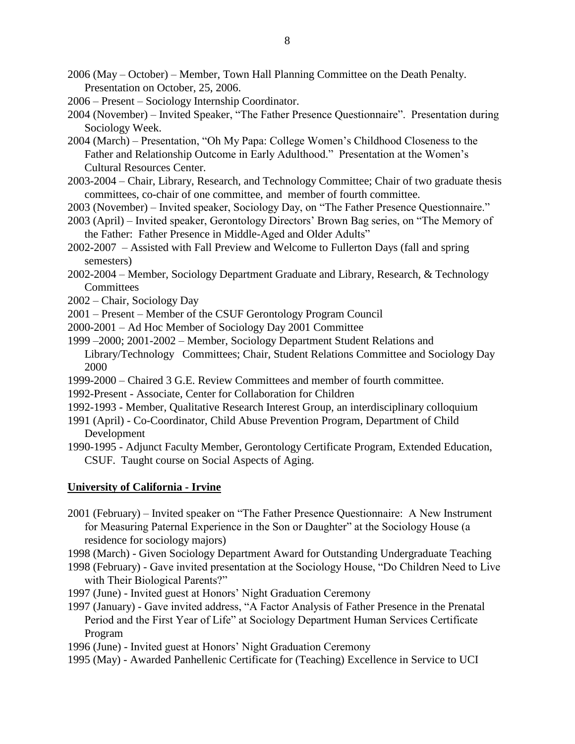2006 (May – October) – Member, Town Hall Planning Committee on the Death Penalty. Presentation on October, 25, 2006.

2006 – Present – Sociology Internship Coordinator.

2004 (November) – Invited Speaker, "The Father Presence Questionnaire". Presentation during Sociology Week.

- 2004 (March) Presentation, "Oh My Papa: College Women's Childhood Closeness to the Father and Relationship Outcome in Early Adulthood." Presentation at the Women's Cultural Resources Center.
- 2003-2004 Chair, Library, Research, and Technology Committee; Chair of two graduate thesis committees, co-chair of one committee, and member of fourth committee.
- 2003 (November) Invited speaker, Sociology Day, on "The Father Presence Questionnaire."
- 2003 (April) Invited speaker, Gerontology Directors' Brown Bag series, on "The Memory of the Father: Father Presence in Middle-Aged and Older Adults"
- 2002-2007 Assisted with Fall Preview and Welcome to Fullerton Days (fall and spring semesters)

2002-2004 – Member, Sociology Department Graduate and Library, Research, & Technology **Committees** 

- 2002 Chair, Sociology Day
- 2001 Present Member of the CSUF Gerontology Program Council
- 2000-2001 Ad Hoc Member of Sociology Day 2001 Committee
- 1999 –2000; 2001-2002 Member, Sociology Department Student Relations and Library/Technology Committees; Chair, Student Relations Committee and Sociology Day 2000
- 1999-2000 Chaired 3 G.E. Review Committees and member of fourth committee.
- 1992-Present Associate, Center for Collaboration for Children
- 1992-1993 Member, Qualitative Research Interest Group, an interdisciplinary colloquium
- 1991 (April) Co-Coordinator, Child Abuse Prevention Program, Department of Child Development

1990-1995 - Adjunct Faculty Member, Gerontology Certificate Program, Extended Education, CSUF. Taught course on Social Aspects of Aging.

## **University of California - Irvine**

2001 (February) – Invited speaker on "The Father Presence Questionnaire: A New Instrument for Measuring Paternal Experience in the Son or Daughter" at the Sociology House (a residence for sociology majors)

1998 (March) - Given Sociology Department Award for Outstanding Undergraduate Teaching

- 1998 (February) Gave invited presentation at the Sociology House, "Do Children Need to Live with Their Biological Parents?"
- 1997 (June) Invited guest at Honors' Night Graduation Ceremony
- 1997 (January) Gave invited address, "A Factor Analysis of Father Presence in the Prenatal Period and the First Year of Life" at Sociology Department Human Services Certificate Program
- 1996 (June) Invited guest at Honors' Night Graduation Ceremony
- 1995 (May) Awarded Panhellenic Certificate for (Teaching) Excellence in Service to UCI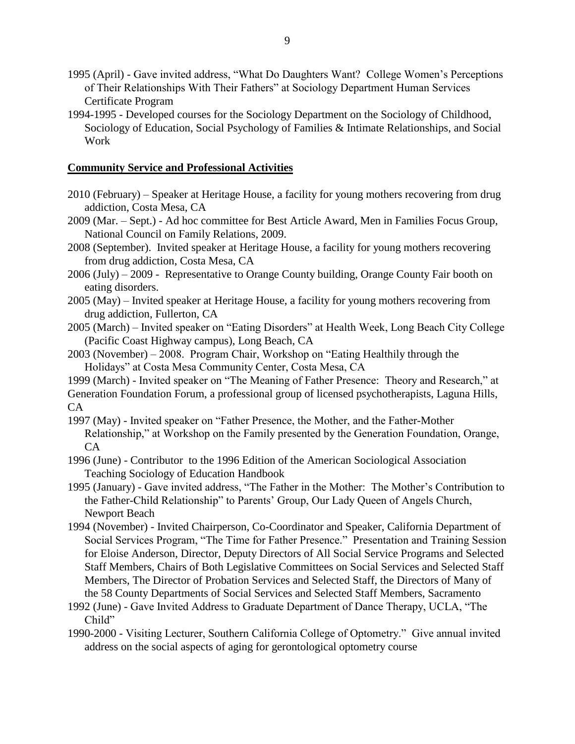- 1995 (April) Gave invited address, "What Do Daughters Want? College Women's Perceptions of Their Relationships With Their Fathers" at Sociology Department Human Services Certificate Program
- 1994-1995 Developed courses for the Sociology Department on the Sociology of Childhood, Sociology of Education, Social Psychology of Families & Intimate Relationships, and Social Work

## **Community Service and Professional Activities**

- 2010 (February) Speaker at Heritage House, a facility for young mothers recovering from drug addiction, Costa Mesa, CA
- 2009 (Mar. Sept.) Ad hoc committee for Best Article Award, Men in Families Focus Group, National Council on Family Relations, 2009.
- 2008 (September). Invited speaker at Heritage House, a facility for young mothers recovering from drug addiction, Costa Mesa, CA
- 2006 (July) 2009 Representative to Orange County building, Orange County Fair booth on eating disorders.
- 2005 (May) Invited speaker at Heritage House, a facility for young mothers recovering from drug addiction, Fullerton, CA
- 2005 (March) Invited speaker on "Eating Disorders" at Health Week, Long Beach City College (Pacific Coast Highway campus), Long Beach, CA
- 2003 (November) 2008. Program Chair, Workshop on "Eating Healthily through the Holidays" at Costa Mesa Community Center, Costa Mesa, CA

1999 (March) - Invited speaker on "The Meaning of Father Presence: Theory and Research," at Generation Foundation Forum, a professional group of licensed psychotherapists, Laguna Hills, CA

- 1997 (May) Invited speaker on "Father Presence, the Mother, and the Father-Mother Relationship," at Workshop on the Family presented by the Generation Foundation, Orange, CA
- 1996 (June) Contributor to the 1996 Edition of the American Sociological Association Teaching Sociology of Education Handbook
- 1995 (January) Gave invited address, "The Father in the Mother: The Mother's Contribution to the Father-Child Relationship" to Parents' Group, Our Lady Queen of Angels Church, Newport Beach
- 1994 (November) Invited Chairperson, Co-Coordinator and Speaker, California Department of Social Services Program, "The Time for Father Presence." Presentation and Training Session for Eloise Anderson, Director, Deputy Directors of All Social Service Programs and Selected Staff Members, Chairs of Both Legislative Committees on Social Services and Selected Staff Members, The Director of Probation Services and Selected Staff, the Directors of Many of the 58 County Departments of Social Services and Selected Staff Members, Sacramento
- 1992 (June) Gave Invited Address to Graduate Department of Dance Therapy, UCLA, "The Child"
- 1990-2000 Visiting Lecturer, Southern California College of Optometry." Give annual invited address on the social aspects of aging for gerontological optometry course